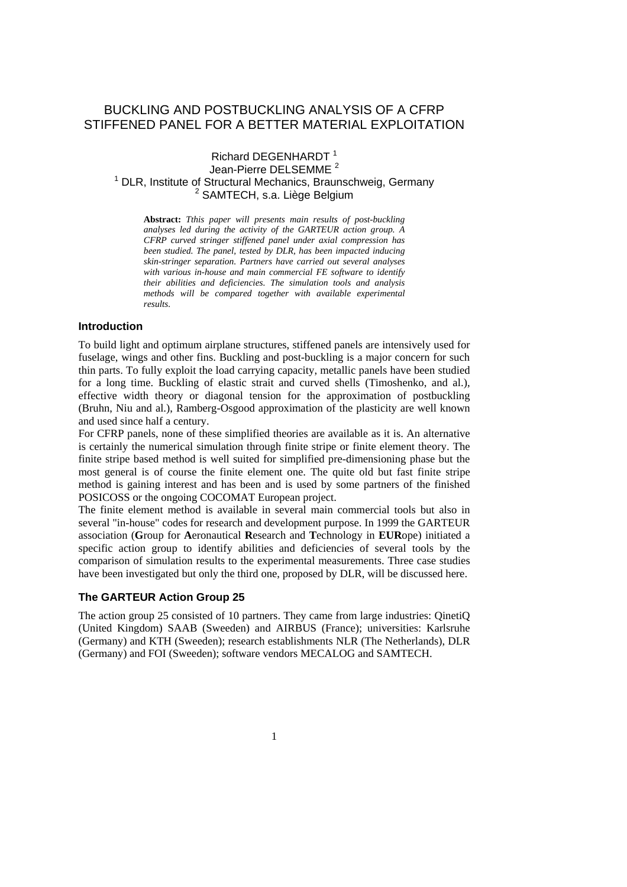# BUCKLING AND POSTBUCKLING ANALYSIS OF A CFRP STIFFENED PANEL FOR A BETTER MATERIAL EXPLOITATION

## Richard DEGENHARDT<sup>1</sup> Jean-Pierre DELSEMME<sup>2</sup> Jean-Pierre DELSEMME<sup>2</sup><br><sup>1</sup> DLR, Institute of Structural Mechanics, Braunschweig, Germany <sup>2</sup> SAMTECH, s.a. Liège Belgium

**Abstract:** *Tthis paper will presents main results of post-buckling analyses led during the activity of the GARTEUR action group. A CFRP curved stringer stiffened panel under axial compression has been studied. The panel, tested by DLR, has been impacted inducing skin-stringer separation. Partners have carried out several analyses with various in-house and main commercial FE software to identify their abilities and deficiencies. The simulation tools and analysis methods will be compared together with available experimental results.* 

## **Introduction**

To build light and optimum airplane structures, stiffened panels are intensively used for fuselage, wings and other fins. Buckling and post-buckling is a major concern for such thin parts. To fully exploit the load carrying capacity, metallic panels have been studied for a long time. Buckling of elastic strait and curved shells (Timoshenko, and al.), effective width theory or diagonal tension for the approximation of postbuckling (Bruhn, Niu and al.), Ramberg-Osgood approximation of the plasticity are well known and used since half a century.

For CFRP panels, none of these simplified theories are available as it is. An alternative is certainly the numerical simulation through finite stripe or finite element theory. The finite stripe based method is well suited for simplified pre-dimensioning phase but the most general is of course the finite element one. The quite old but fast finite stripe method is gaining interest and has been and is used by some partners of the finished POSICOSS or the ongoing COCOMAT European project.

The finite element method is available in several main commercial tools but also in several "in-house" codes for research and development purpose. In 1999 the GARTEUR association (**G**roup for **A**eronautical **R**esearch and **T**echnology in **EUR**ope) initiated a specific action group to identify abilities and deficiencies of several tools by the comparison of simulation results to the experimental measurements. Three case studies have been investigated but only the third one, proposed by DLR, will be discussed here.

## **The GARTEUR Action Group 25**

The action group 25 consisted of 10 partners. They came from large industries: QinetiQ (United Kingdom) SAAB (Sweeden) and AIRBUS (France); universities: Karlsruhe (Germany) and KTH (Sweeden); research establishments NLR (The Netherlands), DLR (Germany) and FOI (Sweeden); software vendors MECALOG and SAMTECH.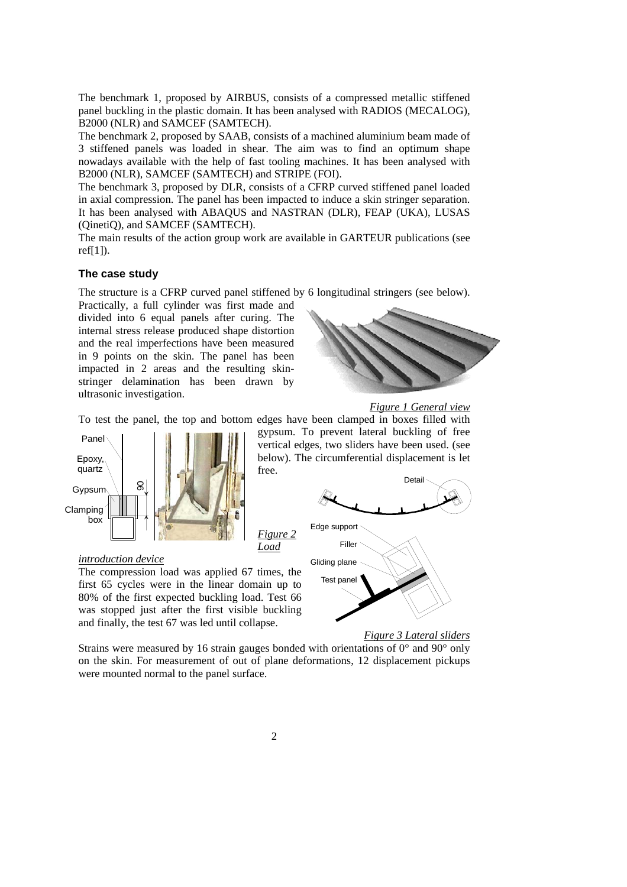The benchmark 1, proposed by AIRBUS, consists of a compressed metallic stiffened panel buckling in the plastic domain. It has been analysed with RADIOS (MECALOG), B2000 (NLR) and SAMCEF (SAMTECH).

The benchmark 2, proposed by SAAB, consists of a machined aluminium beam made of 3 stiffened panels was loaded in shear. The aim was to find an optimum shape nowadays available with the help of fast tooling machines. It has been analysed with B2000 (NLR), SAMCEF (SAMTECH) and STRIPE (FOI).

The benchmark 3, proposed by DLR, consists of a CFRP curved stiffened panel loaded in axial compression. The panel has been impacted to induce a skin stringer separation. It has been analysed with ABAQUS and NASTRAN (DLR), FEAP (UKA), LUSAS (QinetiQ), and SAMCEF (SAMTECH).

The main results of the action group work are available in GARTEUR publications (see ref $[1]$ ).

## **The case study**

The structure is a CFRP curved panel stiffened by 6 longitudinal stringers (see below).

Practically, a full cylinder was first made and divided into 6 equal panels after curing. The internal stress release produced shape distortion and the real imperfections have been measured in 9 points on the skin. The panel has been impacted in 2 areas and the resulting skinstringer delamination has been drawn by ultrasonic investigation.



*Figure 1 General view*

To test the panel, the top and bottom edges have been clamped in boxes filled with



gypsum. To prevent lateral buckling of free vertical edges, two sliders have been used. (see below). The circumferential displacement is let free.

> Gliding plane Test panel



#### *introduction device*

The compression load was applied 67 times, the first 65 cycles were in the linear domain up to 80% of the first expected buckling load. Test 66 was stopped just after the first visible buckling and finally, the test 67 was led until collapse.

*Figure 3 Lateral sliders*

Strains were measured by 16 strain gauges bonded with orientations of  $0^{\circ}$  and  $90^{\circ}$  only on the skin. For measurement of out of plane deformations, 12 displacement pickups were mounted normal to the panel surface.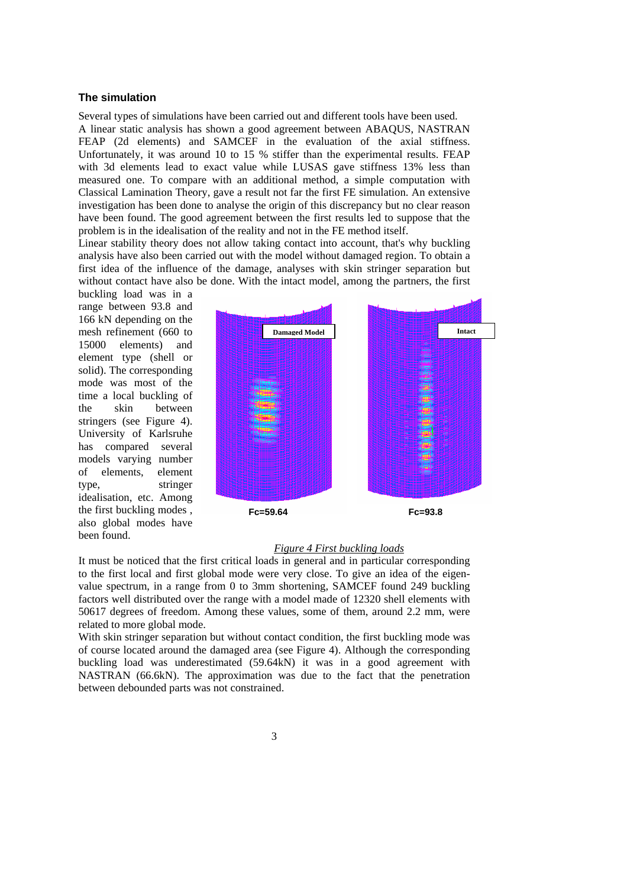### **The simulation**

Several types of simulations have been carried out and different tools have been used. A linear static analysis has shown a good agreement between ABAQUS, NASTRAN FEAP (2d elements) and SAMCEF in the evaluation of the axial stiffness. Unfortunately, it was around 10 to 15 % stiffer than the experimental results. FEAP with 3d elements lead to exact value while LUSAS gave stiffness 13% less than measured one. To compare with an additional method, a simple computation with Classical Lamination Theory, gave a result not far the first FE simulation. An extensive investigation has been done to analyse the origin of this discrepancy but no clear reason have been found. The good agreement between the first results led to suppose that the problem is in the idealisation of the reality and not in the FE method itself.

Linear stability theory does not allow taking contact into account, that's why buckling analysis have also been carried out with the model without damaged region. To obtain a first idea of the influence of the damage, analyses with skin stringer separation but without contact have also be done. With the intact model, among the partners, the first

buckling load was in a range between 93.8 and 166 kN depending on the mesh refinement (660 to 15000 elements) and element type (shell or solid). The corresponding mode was most of the time a local buckling of the skin between stringers (see Figure 4). University of Karlsruhe has compared several models varying number of elements, element type, stringer idealisation, etc. Among the first buckling modes , also global modes have been found.



#### *Figure 4 First buckling loads*

It must be noticed that the first critical loads in general and in particular corresponding to the first local and first global mode were very close. To give an idea of the eigenvalue spectrum, in a range from 0 to 3mm shortening, SAMCEF found 249 buckling factors well distributed over the range with a model made of 12320 shell elements with 50617 degrees of freedom. Among these values, some of them, around 2.2 mm, were related to more global mode.

With skin stringer separation but without contact condition, the first buckling mode was of course located around the damaged area (see Figure 4). Although the corresponding buckling load was underestimated (59.64kN) it was in a good agreement with NASTRAN (66.6kN). The approximation was due to the fact that the penetration between debounded parts was not constrained.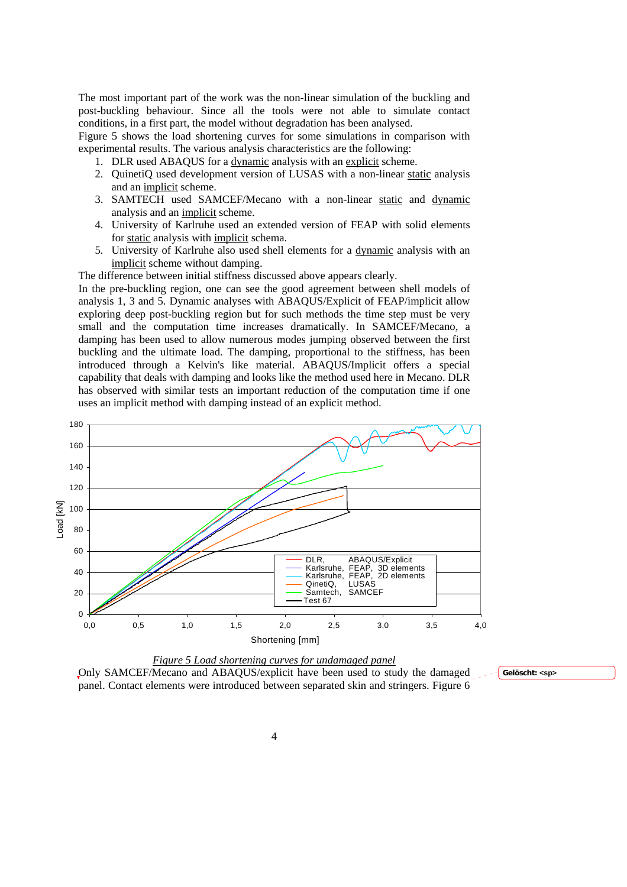The most important part of the work was the non-linear simulation of the buckling and post-buckling behaviour. Since all the tools were not able to simulate contact conditions, in a first part, the model without degradation has been analysed.

Figure 5 shows the load shortening curves for some simulations in comparison with experimental results. The various analysis characteristics are the following:

- 1. DLR used ABAQUS for a dynamic analysis with an explicit scheme.
- 2. QuinetiQ used development version of LUSAS with a non-linear static analysis and an implicit scheme.
- 3. SAMTECH used SAMCEF/Mecano with a non-linear static and dynamic analysis and an implicit scheme.
- 4. University of Karlruhe used an extended version of FEAP with solid elements for static analysis with implicit schema.
- 5. University of Karlruhe also used shell elements for a dynamic analysis with an implicit scheme without damping.

The difference between initial stiffness discussed above appears clearly.

In the pre-buckling region, one can see the good agreement between shell models of analysis 1, 3 and 5. Dynamic analyses with ABAQUS/Explicit of FEAP/implicit allow exploring deep post-buckling region but for such methods the time step must be very small and the computation time increases dramatically. In SAMCEF/Mecano, a damping has been used to allow numerous modes jumping observed between the first buckling and the ultimate load. The damping, proportional to the stiffness, has been introduced through a Kelvin's like material. ABAQUS/Implicit offers a special capability that deals with damping and looks like the method used here in Mecano. DLR has observed with similar tests an important reduction of the computation time if one uses an implicit method with damping instead of an explicit method.





**Gelöscht: <sp>**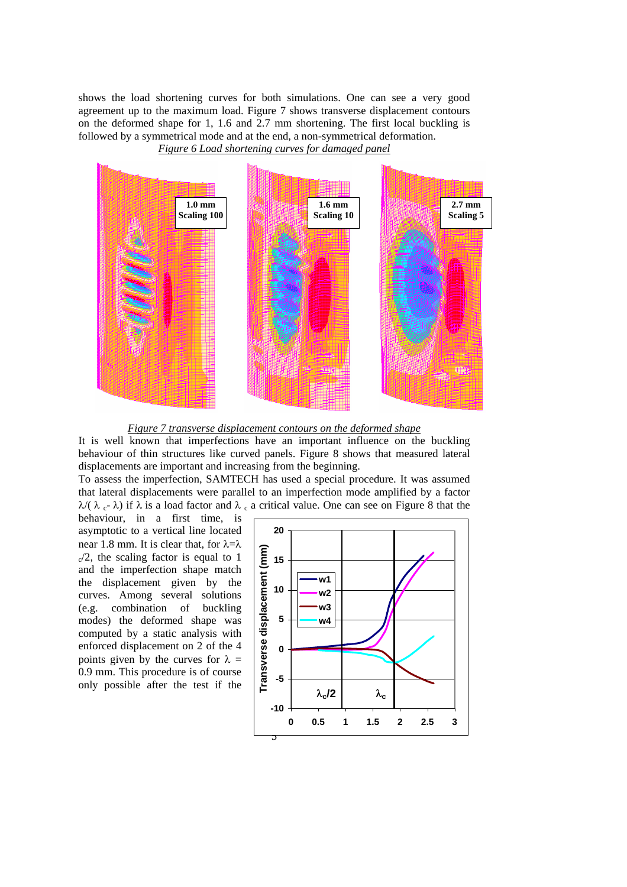shows the load shortening curves for both simulations. One can see a very good agreement up to the maximum load. Figure 7 shows transverse displacement contours on the deformed shape for 1, 1.6 and 2.7 mm shortening. The first local buckling is followed by a symmetrical mode and at the end, a non-symmetrical deformation.

*Figure 6 Load shortening curves for damaged panel*



*Figure 7 transverse displacement contours on the deformed shape*

It is well known that imperfections have an important influence on the buckling behaviour of thin structures like curved panels. Figure 8 shows that measured lateral displacements are important and increasing from the beginning.

To assess the imperfection, SAMTECH has used a special procedure. It was assumed that lateral displacements were parallel to an imperfection mode amplified by a factor  $λ$ ( $λ$ <sub>c</sub>- $λ$ ) if  $λ$  is a load factor and  $λ$ <sub>c</sub> a critical value. One can see on Figure 8 that the

behaviour, in a first time, is asymptotic to a vertical line located near 1.8 mm. It is clear that, for  $\lambda = \lambda$  $\sqrt{2}$ , the scaling factor is equal to 1 and the imperfection shape match the displacement given by the curves. Among several solutions (e.g. combination of buckling modes) the deformed shape was computed by a static analysis with enforced displacement on 2 of the 4 points given by the curves for  $\lambda =$ 0.9 mm. This procedure is of course only possible after the test if the

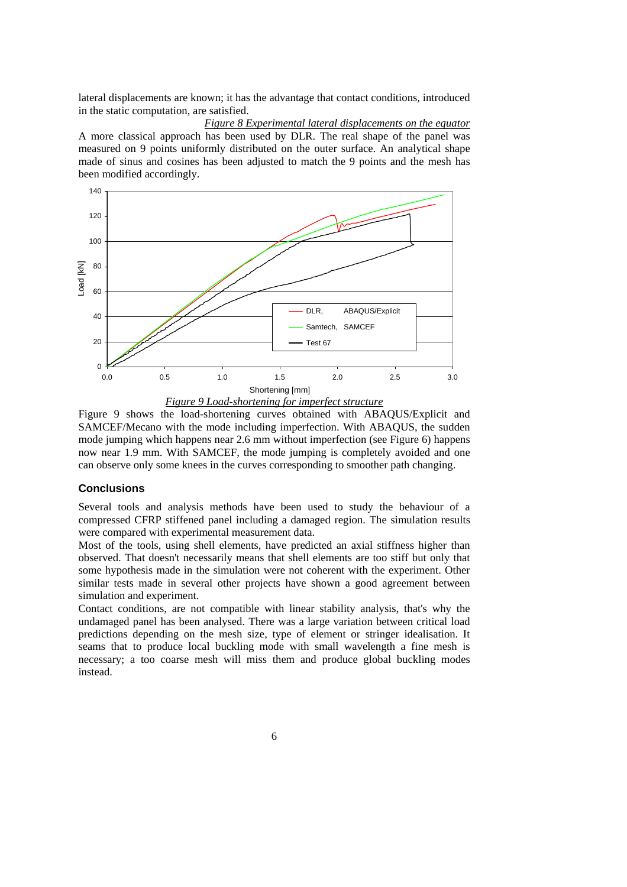lateral displacements are known; it has the advantage that contact conditions, introduced in the static computation, are satisfied.

*Figure 8 Experimental lateral displacements on the equator* A more classical approach has been used by DLR. The real shape of the panel was measured on 9 points uniformly distributed on the outer surface. An analytical shape made of sinus and cosines has been adjusted to match the 9 points and the mesh has been modified accordingly.



Figure 9 shows the load-shortening curves obtained with ABAQUS/Explicit and SAMCEF/Mecano with the mode including imperfection. With ABAQUS, the sudden mode jumping which happens near 2.6 mm without imperfection (see Figure 6) happens now near 1.9 mm. With SAMCEF, the mode jumping is completely avoided and one can observe only some knees in the curves corresponding to smoother path changing.

## **Conclusions**

Several tools and analysis methods have been used to study the behaviour of a compressed CFRP stiffened panel including a damaged region. The simulation results were compared with experimental measurement data.

Most of the tools, using shell elements, have predicted an axial stiffness higher than observed. That doesn't necessarily means that shell elements are too stiff but only that some hypothesis made in the simulation were not coherent with the experiment. Other similar tests made in several other projects have shown a good agreement between simulation and experiment.

Contact conditions, are not compatible with linear stability analysis, that's why the undamaged panel has been analysed. There was a large variation between critical load predictions depending on the mesh size, type of element or stringer idealisation. It seams that to produce local buckling mode with small wavelength a fine mesh is necessary; a too coarse mesh will miss them and produce global buckling modes instead.